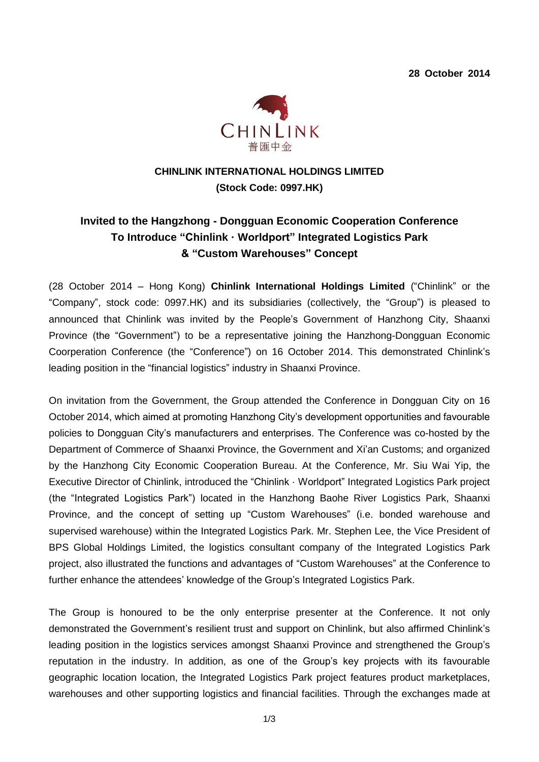**28 October 2014**



## **CHINLINK INTERNATIONAL HOLDINGS LIMITED (Stock Code: 0997.HK)**

# **Invited to the Hangzhong - Dongguan Economic Cooperation Conference To Introduce "Chinlink ·Worldport" Integrated Logistics Park & "Custom Warehouses" Concept**

(28 October 2014 – Hong Kong) **Chinlink International Holdings Limited** ("Chinlink" or the "Company", stock code: 0997.HK) and its subsidiaries (collectively, the "Group") is pleased to announced that Chinlink was invited by the People's Government of Hanzhong City, Shaanxi Province (the "Government") to be a representative joining the Hanzhong-Dongguan Economic Coorperation Conference (the "Conference") on 16 October 2014. This demonstrated Chinlink's leading position in the "financial logistics" industry in Shaanxi Province.

On invitation from the Government, the Group attended the Conference in Dongguan City on 16 October 2014, which aimed at promoting Hanzhong City's development opportunities and favourable policies to Dongguan City's manufacturers and enterprises. The Conference was co-hosted by the Department of Commerce of Shaanxi Province, the Government and Xi'an Customs; and organized by the Hanzhong City Economic Cooperation Bureau. At the Conference, Mr. Siu Wai Yip, the Executive Director of Chinlink, introduced the "Chinlink · Worldport" Integrated Logistics Park project (the "Integrated Logistics Park") located in the Hanzhong Baohe River Logistics Park, Shaanxi Province, and the concept of setting up "Custom Warehouses" (i.e. bonded warehouse and supervised warehouse) within the Integrated Logistics Park. Mr. Stephen Lee, the Vice President of BPS Global Holdings Limited, the logistics consultant company of the Integrated Logistics Park project, also illustrated the functions and advantages of "Custom Warehouses" at the Conference to further enhance the attendees' knowledge of the Group's Integrated Logistics Park.

The Group is honoured to be the only enterprise presenter at the Conference. It not only demonstrated the Government's resilient trust and support on Chinlink, but also affirmed Chinlink's leading position in the logistics services amongst Shaanxi Province and strengthened the Group's reputation in the industry. In addition, as one of the Group's key projects with its favourable geographic location location, the Integrated Logistics Park project features product marketplaces, warehouses and other supporting logistics and financial facilities. Through the exchanges made at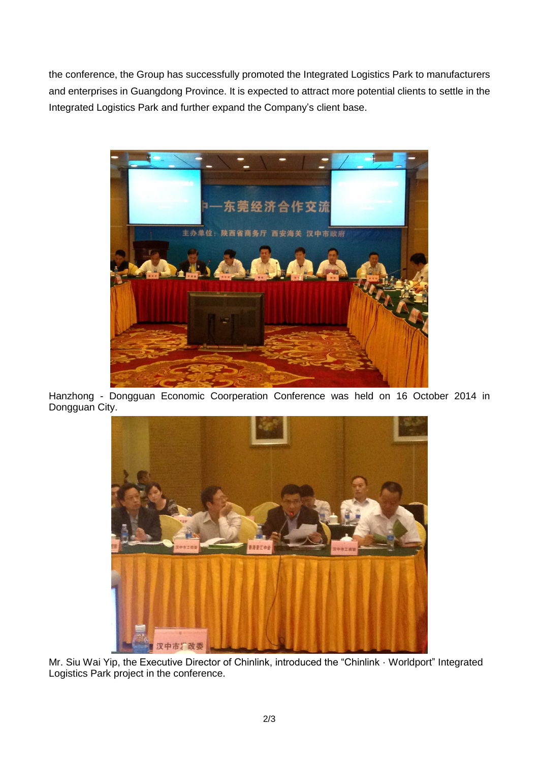the conference, the Group has successfully promoted the Integrated Logistics Park to manufacturers and enterprises in Guangdong Province. It is expected to attract more potential clients to settle in the Integrated Logistics Park and further expand the Company's client base.



Hanzhong - Dongguan Economic Coorperation Conference was held on 16 October 2014 in Dongguan City.



Mr. Siu Wai Yip, the Executive Director of Chinlink, introduced the "Chinlink · Worldport" Integrated Logistics Park project in the conference.